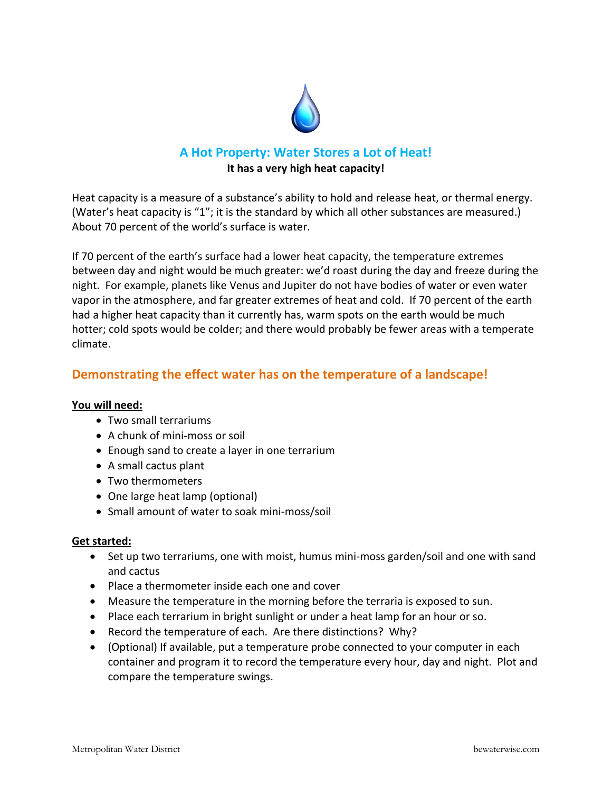

## **A Hot Property: Water Stores a Lot of Heat! It has a very high heat capacity!**

Heat capacity is a measure of a substance's ability to hold and release heat, or thermal energy. (Water's heat capacity is "1"; it is the standard by which all other substances are measured.) About 70 percent of the world's surface is water.

If 70 percent of the earth's surface had a lower heat capacity, the temperature extremes between day and night would be much greater: we'd roast during the day and freeze during the night. For example, planets like Venus and Jupiter do not have bodies of water or even water vapor in the atmosphere, and far greater extremes of heat and cold. If 70 percent of the earth had a higher heat capacity than it currently has, warm spots on the earth would be much hotter; cold spots would be colder; and there would probably be fewer areas with a temperate climate.

## **Demonstrating the effect water has on the temperature of a landscape!**

### **You will need:**

- Two small terrariums
- A chunk of mini-moss or soil
- Enough sand to create a layer in one terrarium
- A small cactus plant
- Two thermometers
- One large heat lamp (optional)
- Small amount of water to soak mini-moss/soil

### **Get started:**

- Set up two terrariums, one with moist, humus mini‐moss garden/soil and one with sand and cactus
- Place a thermometer inside each one and cover
- Measure the temperature in the morning before the terraria is exposed to sun.
- Place each terrarium in bright sunlight or under a heat lamp for an hour or so.
- Record the temperature of each. Are there distinctions? Why?
- (Optional) If available, put a temperature probe connected to your computer in each container and program it to record the temperature every hour, day and night. Plot and compare the temperature swings.